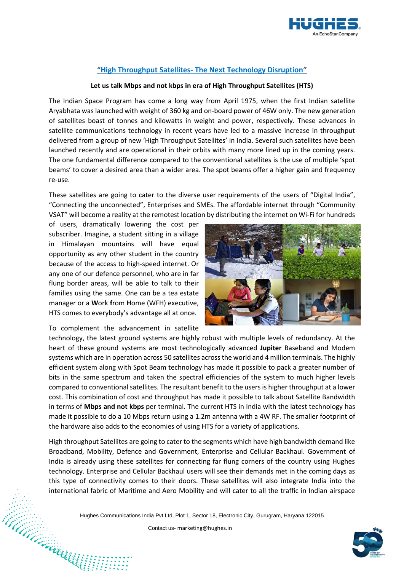

## **"High Throughput Satellites- The Next Technology Disruption"**

## **Let us talk Mbps and not kbps in era of High Throughput Satellites (HTS)**

The Indian Space Program has come a long way from April 1975, when the first Indian satellite Aryabhata was launched with weight of 360 kg and on-board power of 46W only. The new generation of satellites boast of tonnes and kilowatts in weight and power, respectively. These advances in satellite communications technology in recent years have led to a massive increase in throughput delivered from a group of new 'High Throughput Satellites' in India. Several such satellites have been launched recently and are operational in their orbits with many more lined up in the coming years. The one fundamental difference compared to the conventional satellites is the use of multiple 'spot beams' to cover a desired area than a wider area. The spot beams offer a higher gain and frequency re-use.

These satellites are going to cater to the diverse user requirements of the users of "Digital India", "Connecting the unconnected", Enterprises and SMEs. The affordable internet through "Community VSAT" will become a reality at the remotest location by distributing the internet on Wi-Fi for hundreds

of users, dramatically lowering the cost per subscriber. Imagine, a student sitting in a village in Himalayan mountains will have equal opportunity as any other student in the country because of the access to high-speed internet. Or any one of our defence personnel, who are in far flung border areas, will be able to talk to their families using the same. One can be a tea estate manager or a **W**ork **f**rom **H**ome (WFH) executive, HTS comes to everybody's advantage all at once.

To complement the advancement in satellite



technology, the latest ground systems are highly robust with multiple levels of redundancy. At the heart of these ground systems are most technologically advanced **Jupiter** Baseband and Modem systems which are in operation across 50 satellites across the world and 4 million terminals. The highly efficient system along with Spot Beam technology has made it possible to pack a greater number of bits in the same spectrum and taken the spectral efficiencies of the system to much higher levels compared to conventional satellites. The resultant benefit to the users is higher throughput at a lower cost. This combination of cost and throughput has made it possible to talk about Satellite Bandwidth in terms of **Mbps and not kbps** per terminal. The current HTS in India with the latest technology has made it possible to do a 10 Mbps return using a 1.2m antenna with a 4W RF. The smaller footprint of the hardware also adds to the economies of using HTS for a variety of applications.

High throughput Satellites are going to cater to the segments which have high bandwidth demand like Broadband, Mobility, Defence and Government, Enterprise and Cellular Backhaul. Government of India is already using these satellites for connecting far flung corners of the country using Hughes technology. Enterprise and Cellular Backhaul users will see their demands met in the coming days as this type of connectivity comes to their doors. These satellites will also integrate India into the international fabric of Maritime and Aero Mobility and will cater to all the traffic in Indian airspace

Hughes Communications India Pvt Ltd, Plot 1, Sector 18, Electronic City, Gurugram, Haryana 122015<br>Contact us-marketing@hughes.in<br>Although School of the Marketing@hughes.in

Contact us- [marketing@hughes.in](mailto:marketing@hughes.in)